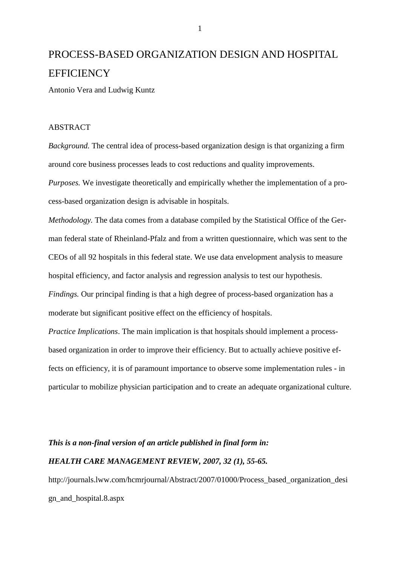# PROCESS-BASED ORGANIZATION DESIGN AND HOSPITAL **EFFICIENCY**

Antonio Vera and Ludwig Kuntz

### ABSTRACT

*Background.* The central idea of process-based organization design is that organizing a firm around core business processes leads to cost reductions and quality improvements.

*Purposes.* We investigate theoretically and empirically whether the implementation of a process-based organization design is advisable in hospitals.

*Methodology.* The data comes from a database compiled by the Statistical Office of the German federal state of Rheinland-Pfalz and from a written questionnaire, which was sent to the CEOs of all 92 hospitals in this federal state. We use data envelopment analysis to measure hospital efficiency, and factor analysis and regression analysis to test our hypothesis. *Findings.* Our principal finding is that a high degree of process-based organization has a moderate but significant positive effect on the efficiency of hospitals.

*Practice Implications*. The main implication is that hospitals should implement a processbased organization in order to improve their efficiency. But to actually achieve positive effects on efficiency, it is of paramount importance to observe some implementation rules - in particular to mobilize physician participation and to create an adequate organizational culture.

*This is a non-final version of an article published in final form in:* 

## *HEALTH CARE MANAGEMENT REVIEW, 2007, 32 (1), 55-65.*

http://journals.lww.com/hcmrjournal/Abstract/2007/01000/Process\_based\_organization\_desi gn\_and\_hospital.8.aspx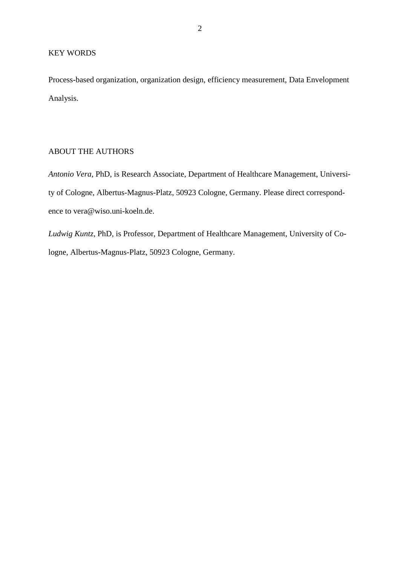Process-based organization, organization design, efficiency measurement, Data Envelopment Analysis.

# ABOUT THE AUTHORS

*Antonio Vera*, PhD, is Research Associate, Department of Healthcare Management, University of Cologne, Albertus-Magnus-Platz, 50923 Cologne, Germany. Please direct correspondence to vera@wiso.uni-koeln.de.

*Ludwig Kuntz*, PhD, is Professor, Department of Healthcare Management, University of Cologne, Albertus-Magnus-Platz, 50923 Cologne, Germany.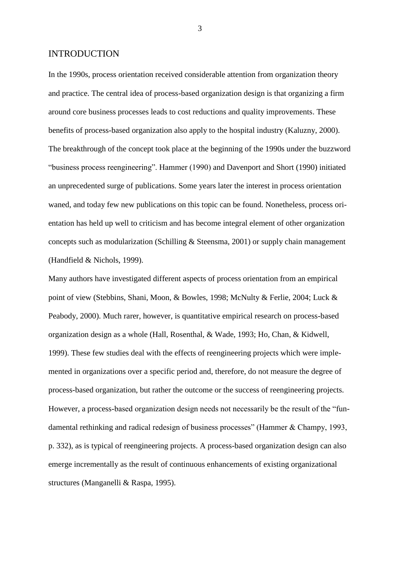#### INTRODUCTION

In the 1990s, process orientation received considerable attention from organization theory and practice. The central idea of process-based organization design is that organizing a firm around core business processes leads to cost reductions and quality improvements. These benefits of process-based organization also apply to the hospital industry (Kaluzny, 2000). The breakthrough of the concept took place at the beginning of the 1990s under the buzzword "business process reengineering". Hammer (1990) and Davenport and Short (1990) initiated an unprecedented surge of publications. Some years later the interest in process orientation waned, and today few new publications on this topic can be found. Nonetheless, process orientation has held up well to criticism and has become integral element of other organization concepts such as modularization (Schilling & Steensma, 2001) or supply chain management (Handfield & Nichols, 1999).

Many authors have investigated different aspects of process orientation from an empirical point of view (Stebbins, Shani, Moon, & Bowles, 1998; McNulty & Ferlie, 2004; Luck & Peabody, 2000). Much rarer, however, is quantitative empirical research on process-based organization design as a whole (Hall, Rosenthal, & Wade, 1993; Ho, Chan, & Kidwell, 1999). These few studies deal with the effects of reengineering projects which were implemented in organizations over a specific period and, therefore, do not measure the degree of process-based organization, but rather the outcome or the success of reengineering projects. However, a process-based organization design needs not necessarily be the result of the "fundamental rethinking and radical redesign of business processes" (Hammer & Champy, 1993, p. 332), as is typical of reengineering projects. A process-based organization design can also emerge incrementally as the result of continuous enhancements of existing organizational structures (Manganelli & Raspa, 1995).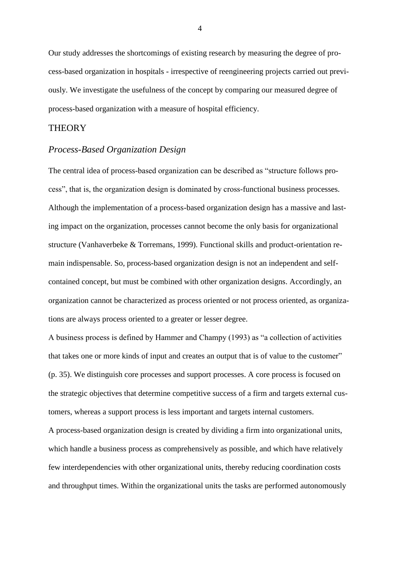Our study addresses the shortcomings of existing research by measuring the degree of process-based organization in hospitals - irrespective of reengineering projects carried out previously. We investigate the usefulness of the concept by comparing our measured degree of process-based organization with a measure of hospital efficiency.

#### **THEORY**

### *Process-Based Organization Design*

The central idea of process-based organization can be described as "structure follows process", that is, the organization design is dominated by cross-functional business processes. Although the implementation of a process-based organization design has a massive and lasting impact on the organization, processes cannot become the only basis for organizational structure (Vanhaverbeke & Torremans, 1999). Functional skills and product-orientation remain indispensable. So, process-based organization design is not an independent and selfcontained concept, but must be combined with other organization designs. Accordingly, an organization cannot be characterized as process oriented or not process oriented, as organizations are always process oriented to a greater or lesser degree.

A business process is defined by Hammer and Champy (1993) as "a collection of activities that takes one or more kinds of input and creates an output that is of value to the customer" (p. 35). We distinguish core processes and support processes. A core process is focused on the strategic objectives that determine competitive success of a firm and targets external customers, whereas a support process is less important and targets internal customers.

A process-based organization design is created by dividing a firm into organizational units, which handle a business process as comprehensively as possible, and which have relatively few interdependencies with other organizational units, thereby reducing coordination costs and throughput times. Within the organizational units the tasks are performed autonomously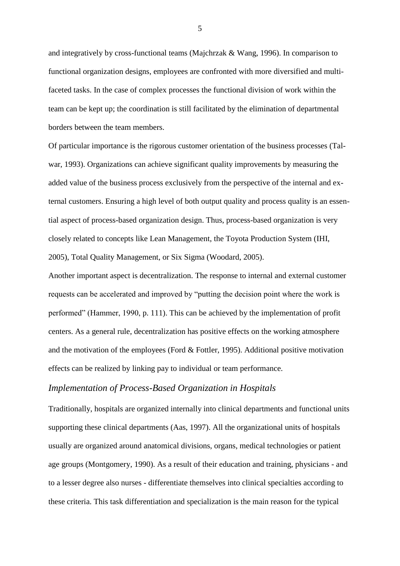and integratively by cross-functional teams (Majchrzak & Wang, 1996). In comparison to functional organization designs, employees are confronted with more diversified and multifaceted tasks. In the case of complex processes the functional division of work within the team can be kept up; the coordination is still facilitated by the elimination of departmental borders between the team members.

Of particular importance is the rigorous customer orientation of the business processes (Talwar, 1993). Organizations can achieve significant quality improvements by measuring the added value of the business process exclusively from the perspective of the internal and external customers. Ensuring a high level of both output quality and process quality is an essential aspect of process-based organization design. Thus, process-based organization is very closely related to concepts like Lean Management, the Toyota Production System (IHI, 2005), Total Quality Management, or Six Sigma (Woodard, 2005).

Another important aspect is decentralization. The response to internal and external customer requests can be accelerated and improved by "putting the decision point where the work is performed" (Hammer, 1990, p. 111). This can be achieved by the implementation of profit centers. As a general rule, decentralization has positive effects on the working atmosphere and the motivation of the employees (Ford & Fottler, 1995). Additional positive motivation effects can be realized by linking pay to individual or team performance.

## *Implementation of Process-Based Organization in Hospitals*

Traditionally, hospitals are organized internally into clinical departments and functional units supporting these clinical departments (Aas, 1997). All the organizational units of hospitals usually are organized around anatomical divisions, organs, medical technologies or patient age groups (Montgomery, 1990). As a result of their education and training, physicians - and to a lesser degree also nurses - differentiate themselves into clinical specialties according to these criteria. This task differentiation and specialization is the main reason for the typical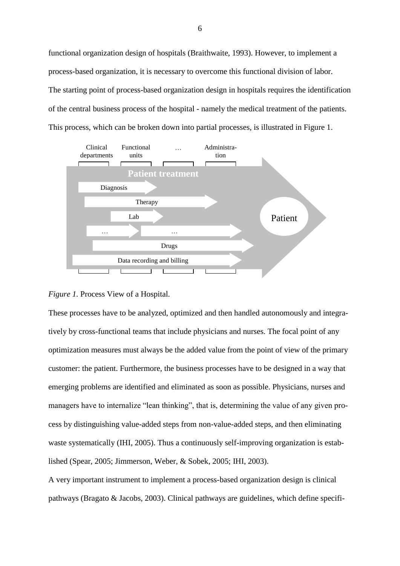functional organization design of hospitals (Braithwaite, 1993). However, to implement a process-based organization, it is necessary to overcome this functional division of labor. The starting point of process-based organization design in hospitals requires the identification of the central business process of the hospital - namely the medical treatment of the patients. This process, which can be broken down into partial processes, is illustrated in Figure 1.



#### *Figure 1.* Process View of a Hospital.

These processes have to be analyzed, optimized and then handled autonomously and integratively by cross-functional teams that include physicians and nurses. The focal point of any optimization measures must always be the added value from the point of view of the primary customer: the patient. Furthermore, the business processes have to be designed in a way that emerging problems are identified and eliminated as soon as possible. Physicians, nurses and managers have to internalize "lean thinking", that is, determining the value of any given process by distinguishing value-added steps from non-value-added steps, and then eliminating waste systematically (IHI, 2005). Thus a continuously self-improving organization is established (Spear, 2005; Jimmerson, Weber, & Sobek, 2005; IHI, 2003).

A very important instrument to implement a process-based organization design is clinical pathways (Bragato & Jacobs, 2003). Clinical pathways are guidelines, which define specifi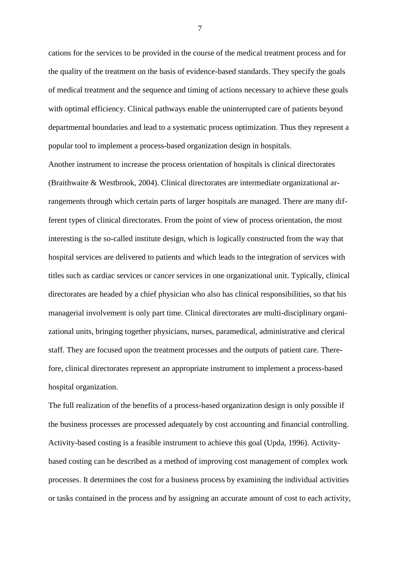cations for the services to be provided in the course of the medical treatment process and for the quality of the treatment on the basis of evidence-based standards. They specify the goals of medical treatment and the sequence and timing of actions necessary to achieve these goals with optimal efficiency. Clinical pathways enable the uninterrupted care of patients beyond departmental boundaries and lead to a systematic process optimization. Thus they represent a popular tool to implement a process-based organization design in hospitals.

Another instrument to increase the process orientation of hospitals is clinical directorates (Braithwaite & Westbrook, 2004). Clinical directorates are intermediate organizational arrangements through which certain parts of larger hospitals are managed. There are many different types of clinical directorates. From the point of view of process orientation, the most interesting is the so-called institute design, which is logically constructed from the way that hospital services are delivered to patients and which leads to the integration of services with titles such as cardiac services or cancer services in one organizational unit. Typically, clinical directorates are headed by a chief physician who also has clinical responsibilities, so that his managerial involvement is only part time. Clinical directorates are multi-disciplinary organizational units, bringing together physicians, nurses, paramedical, administrative and clerical staff. They are focused upon the treatment processes and the outputs of patient care. Therefore, clinical directorates represent an appropriate instrument to implement a process-based hospital organization.

The full realization of the benefits of a process-based organization design is only possible if the business processes are processed adequately by cost accounting and financial controlling. Activity-based costing is a feasible instrument to achieve this goal (Upda, 1996). Activitybased costing can be described as a method of improving cost management of complex work processes. It determines the cost for a business process by examining the individual activities or tasks contained in the process and by assigning an accurate amount of cost to each activity,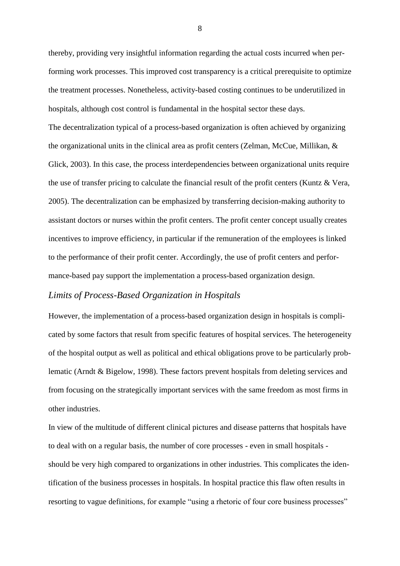thereby, providing very insightful information regarding the actual costs incurred when performing work processes. This improved cost transparency is a critical prerequisite to optimize the treatment processes. Nonetheless, activity-based costing continues to be underutilized in hospitals, although cost control is fundamental in the hospital sector these days. The decentralization typical of a process-based organization is often achieved by organizing the organizational units in the clinical area as profit centers (Zelman, McCue, Millikan, & Glick, 2003). In this case, the process interdependencies between organizational units require the use of transfer pricing to calculate the financial result of the profit centers (Kuntz & Vera, 2005). The decentralization can be emphasized by transferring decision-making authority to assistant doctors or nurses within the profit centers. The profit center concept usually creates incentives to improve efficiency, in particular if the remuneration of the employees is linked to the performance of their profit center. Accordingly, the use of profit centers and performance-based pay support the implementation a process-based organization design.

# *Limits of Process-Based Organization in Hospitals*

However, the implementation of a process-based organization design in hospitals is complicated by some factors that result from specific features of hospital services. The heterogeneity of the hospital output as well as political and ethical obligations prove to be particularly problematic (Arndt & Bigelow, 1998). These factors prevent hospitals from deleting services and from focusing on the strategically important services with the same freedom as most firms in other industries.

In view of the multitude of different clinical pictures and disease patterns that hospitals have to deal with on a regular basis, the number of core processes - even in small hospitals should be very high compared to organizations in other industries. This complicates the identification of the business processes in hospitals. In hospital practice this flaw often results in resorting to vague definitions, for example "using a rhetoric of four core business processes"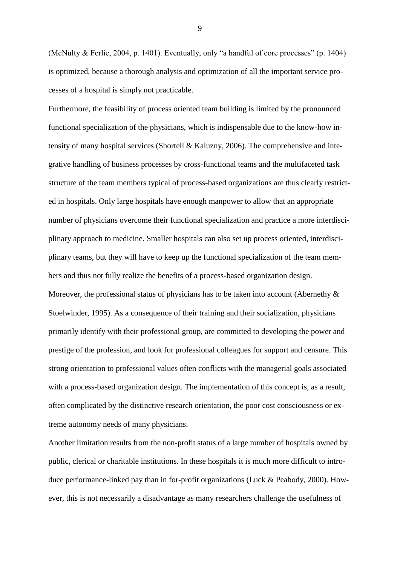(McNulty & Ferlie, 2004, p. 1401). Eventually, only "a handful of core processes" (p. 1404) is optimized, because a thorough analysis and optimization of all the important service processes of a hospital is simply not practicable.

Furthermore, the feasibility of process oriented team building is limited by the pronounced functional specialization of the physicians, which is indispensable due to the know-how intensity of many hospital services (Shortell & Kaluzny, 2006). The comprehensive and integrative handling of business processes by cross-functional teams and the multifaceted task structure of the team members typical of process-based organizations are thus clearly restricted in hospitals. Only large hospitals have enough manpower to allow that an appropriate number of physicians overcome their functional specialization and practice a more interdisciplinary approach to medicine. Smaller hospitals can also set up process oriented, interdisciplinary teams, but they will have to keep up the functional specialization of the team members and thus not fully realize the benefits of a process-based organization design. Moreover, the professional status of physicians has to be taken into account (Abernethy  $\&$ Stoelwinder, 1995). As a consequence of their training and their socialization, physicians primarily identify with their professional group, are committed to developing the power and prestige of the profession, and look for professional colleagues for support and censure. This strong orientation to professional values often conflicts with the managerial goals associated with a process-based organization design. The implementation of this concept is, as a result, often complicated by the distinctive research orientation, the poor cost consciousness or extreme autonomy needs of many physicians.

Another limitation results from the non-profit status of a large number of hospitals owned by public, clerical or charitable institutions. In these hospitals it is much more difficult to introduce performance-linked pay than in for-profit organizations (Luck & Peabody, 2000). However, this is not necessarily a disadvantage as many researchers challenge the usefulness of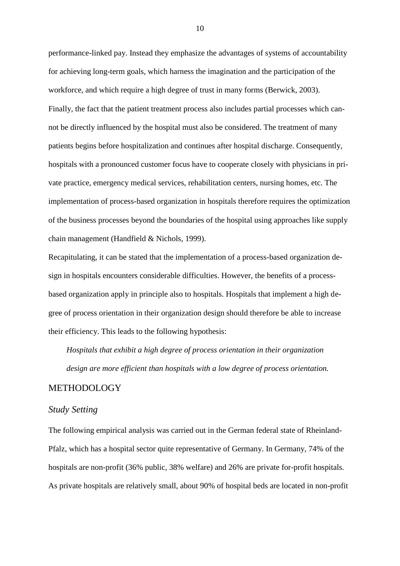performance-linked pay. Instead they emphasize the advantages of systems of accountability for achieving long-term goals, which harness the imagination and the participation of the workforce, and which require a high degree of trust in many forms (Berwick, 2003). Finally, the fact that the patient treatment process also includes partial processes which cannot be directly influenced by the hospital must also be considered. The treatment of many patients begins before hospitalization and continues after hospital discharge. Consequently, hospitals with a pronounced customer focus have to cooperate closely with physicians in private practice, emergency medical services, rehabilitation centers, nursing homes, etc. The implementation of process-based organization in hospitals therefore requires the optimization of the business processes beyond the boundaries of the hospital using approaches like supply chain management (Handfield & Nichols, 1999).

Recapitulating, it can be stated that the implementation of a process-based organization design in hospitals encounters considerable difficulties. However, the benefits of a processbased organization apply in principle also to hospitals. Hospitals that implement a high degree of process orientation in their organization design should therefore be able to increase their efficiency. This leads to the following hypothesis:

*Hospitals that exhibit a high degree of process orientation in their organization design are more efficient than hospitals with a low degree of process orientation.*

## METHODOLOGY

### *Study Setting*

The following empirical analysis was carried out in the German federal state of Rheinland-Pfalz, which has a hospital sector quite representative of Germany. In Germany, 74% of the hospitals are non-profit (36% public, 38% welfare) and 26% are private for-profit hospitals. As private hospitals are relatively small, about 90% of hospital beds are located in non-profit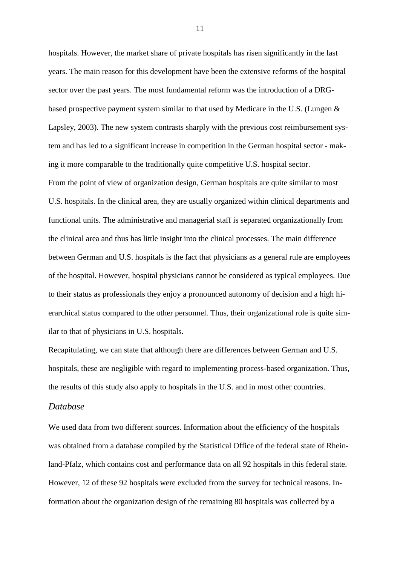hospitals. However, the market share of private hospitals has risen significantly in the last years. The main reason for this development have been the extensive reforms of the hospital sector over the past years. The most fundamental reform was the introduction of a DRGbased prospective payment system similar to that used by Medicare in the U.S. (Lungen & Lapsley, 2003). The new system contrasts sharply with the previous cost reimbursement system and has led to a significant increase in competition in the German hospital sector - making it more comparable to the traditionally quite competitive U.S. hospital sector. From the point of view of organization design, German hospitals are quite similar to most U.S. hospitals. In the clinical area, they are usually organized within clinical departments and functional units. The administrative and managerial staff is separated organizationally from the clinical area and thus has little insight into the clinical processes. The main difference between German and U.S. hospitals is the fact that physicians as a general rule are employees of the hospital. However, hospital physicians cannot be considered as typical employees. Due to their status as professionals they enjoy a pronounced autonomy of decision and a high hierarchical status compared to the other personnel. Thus, their organizational role is quite similar to that of physicians in U.S. hospitals.

Recapitulating, we can state that although there are differences between German and U.S. hospitals, these are negligible with regard to implementing process-based organization. Thus, the results of this study also apply to hospitals in the U.S. and in most other countries.

### *Database*

We used data from two different sources. Information about the efficiency of the hospitals was obtained from a database compiled by the Statistical Office of the federal state of Rheinland-Pfalz, which contains cost and performance data on all 92 hospitals in this federal state. However, 12 of these 92 hospitals were excluded from the survey for technical reasons. Information about the organization design of the remaining 80 hospitals was collected by a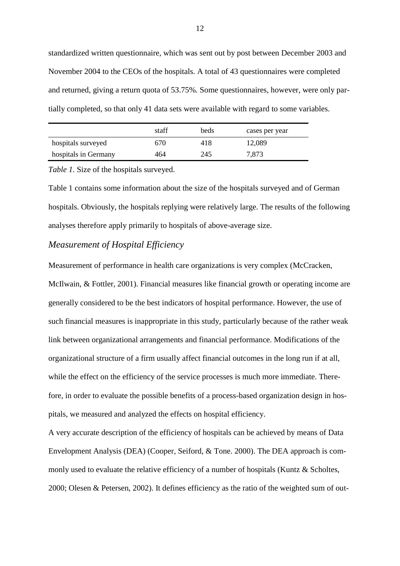standardized written questionnaire, which was sent out by post between December 2003 and November 2004 to the CEOs of the hospitals. A total of 43 questionnaires were completed and returned, giving a return quota of 53.75%. Some questionnaires, however, were only partially completed, so that only 41 data sets were available with regard to some variables.

|                      | staff | beds | cases per year |
|----------------------|-------|------|----------------|
| hospitals surveyed   | 670   | 418  | 12,089         |
| hospitals in Germany | 464   | 245  | 7,873          |

*Table 1.* Size of the hospitals surveyed.

Table 1 contains some information about the size of the hospitals surveyed and of German hospitals. Obviously, the hospitals replying were relatively large. The results of the following analyses therefore apply primarily to hospitals of above-average size.

## *Measurement of Hospital Efficiency*

Measurement of performance in health care organizations is very complex (McCracken, McIlwain, & Fottler, 2001). Financial measures like financial growth or operating income are generally considered to be the best indicators of hospital performance. However, the use of such financial measures is inappropriate in this study, particularly because of the rather weak link between organizational arrangements and financial performance. Modifications of the organizational structure of a firm usually affect financial outcomes in the long run if at all, while the effect on the efficiency of the service processes is much more immediate. Therefore, in order to evaluate the possible benefits of a process-based organization design in hospitals, we measured and analyzed the effects on hospital efficiency.

A very accurate description of the efficiency of hospitals can be achieved by means of Data Envelopment Analysis (DEA) (Cooper, Seiford, & Tone. 2000). The DEA approach is commonly used to evaluate the relative efficiency of a number of hospitals (Kuntz & Scholtes, 2000; Olesen & Petersen, 2002). It defines efficiency as the ratio of the weighted sum of out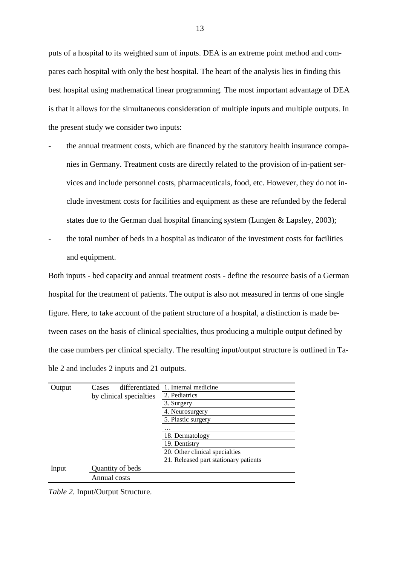puts of a hospital to its weighted sum of inputs. DEA is an extreme point method and compares each hospital with only the best hospital. The heart of the analysis lies in finding this best hospital using mathematical linear programming. The most important advantage of DEA is that it allows for the simultaneous consideration of multiple inputs and multiple outputs. In the present study we consider two inputs:

- the annual treatment costs, which are financed by the statutory health insurance companies in Germany. Treatment costs are directly related to the provision of in-patient services and include personnel costs, pharmaceuticals, food, etc. However, they do not include investment costs for facilities and equipment as these are refunded by the federal states due to the German dual hospital financing system (Lungen & Lapsley, 2003);
- the total number of beds in a hospital as indicator of the investment costs for facilities and equipment.

Both inputs - bed capacity and annual treatment costs - define the resource basis of a German hospital for the treatment of patients. The output is also not measured in terms of one single figure. Here, to take account of the patient structure of a hospital, a distinction is made between cases on the basis of clinical specialties, thus producing a multiple output defined by the case numbers per clinical specialty. The resulting input/output structure is outlined in Table 2 and includes 2 inputs and 21 outputs.

| Output | Cases                   | differentiated 1. Internal medicine   |  |  |
|--------|-------------------------|---------------------------------------|--|--|
|        | by clinical specialties | 2. Pediatrics                         |  |  |
|        |                         | 3. Surgery                            |  |  |
|        |                         | 4. Neurosurgery                       |  |  |
|        |                         | 5. Plastic surgery                    |  |  |
|        |                         |                                       |  |  |
|        |                         | 18. Dermatology                       |  |  |
|        |                         | 19. Dentistry                         |  |  |
|        |                         | 20. Other clinical specialties        |  |  |
|        |                         | 21. Released part stationary patients |  |  |
| Input  | Quantity of beds        |                                       |  |  |
|        | Annual costs            |                                       |  |  |

*Table 2.* Input/Output Structure.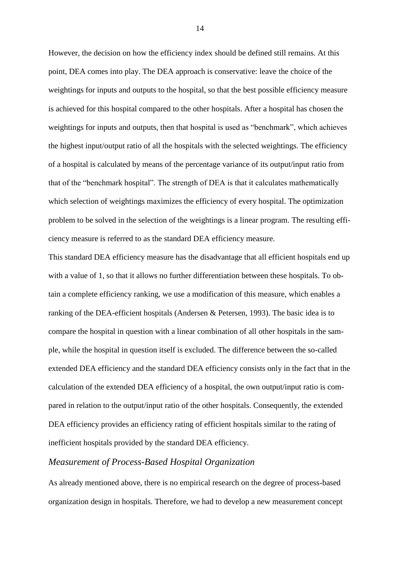However, the decision on how the efficiency index should be defined still remains. At this point, DEA comes into play. The DEA approach is conservative: leave the choice of the weightings for inputs and outputs to the hospital, so that the best possible efficiency measure is achieved for this hospital compared to the other hospitals. After a hospital has chosen the weightings for inputs and outputs, then that hospital is used as "benchmark", which achieves the highest input/output ratio of all the hospitals with the selected weightings. The efficiency of a hospital is calculated by means of the percentage variance of its output/input ratio from that of the "benchmark hospital". The strength of DEA is that it calculates mathematically which selection of weightings maximizes the efficiency of every hospital. The optimization problem to be solved in the selection of the weightings is a linear program. The resulting efficiency measure is referred to as the standard DEA efficiency measure.

This standard DEA efficiency measure has the disadvantage that all efficient hospitals end up with a value of 1, so that it allows no further differentiation between these hospitals. To obtain a complete efficiency ranking, we use a modification of this measure, which enables a ranking of the DEA-efficient hospitals (Andersen & Petersen, 1993). The basic idea is to compare the hospital in question with a linear combination of all other hospitals in the sample, while the hospital in question itself is excluded. The difference between the so-called extended DEA efficiency and the standard DEA efficiency consists only in the fact that in the calculation of the extended DEA efficiency of a hospital, the own output/input ratio is compared in relation to the output/input ratio of the other hospitals. Consequently, the extended DEA efficiency provides an efficiency rating of efficient hospitals similar to the rating of inefficient hospitals provided by the standard DEA efficiency.

# *Measurement of Process-Based Hospital Organization*

As already mentioned above, there is no empirical research on the degree of process-based organization design in hospitals. Therefore, we had to develop a new measurement concept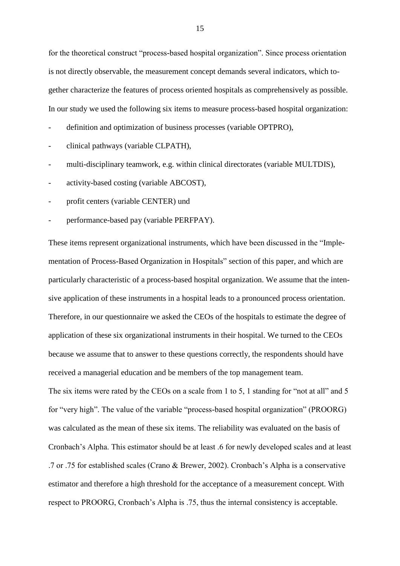for the theoretical construct "process-based hospital organization". Since process orientation is not directly observable, the measurement concept demands several indicators, which together characterize the features of process oriented hospitals as comprehensively as possible. In our study we used the following six items to measure process-based hospital organization:

- definition and optimization of business processes (variable OPTPRO),
- clinical pathways (variable CLPATH),
- multi-disciplinary teamwork, e.g. within clinical directorates (variable MULTDIS),
- activity-based costing (variable ABCOST),
- profit centers (variable CENTER) und
- performance-based pay (variable PERFPAY).

These items represent organizational instruments, which have been discussed in the "Implementation of Process-Based Organization in Hospitals" section of this paper, and which are particularly characteristic of a process-based hospital organization. We assume that the intensive application of these instruments in a hospital leads to a pronounced process orientation. Therefore, in our questionnaire we asked the CEOs of the hospitals to estimate the degree of application of these six organizational instruments in their hospital. We turned to the CEOs because we assume that to answer to these questions correctly, the respondents should have received a managerial education and be members of the top management team.

The six items were rated by the CEOs on a scale from 1 to 5, 1 standing for "not at all" and 5 for "very high". The value of the variable "process-based hospital organization" (PROORG) was calculated as the mean of these six items. The reliability was evaluated on the basis of Cronbach's Alpha. This estimator should be at least .6 for newly developed scales and at least .7 or .75 for established scales (Crano & Brewer, 2002). Cronbach's Alpha is a conservative estimator and therefore a high threshold for the acceptance of a measurement concept. With respect to PROORG, Cronbach's Alpha is .75, thus the internal consistency is acceptable.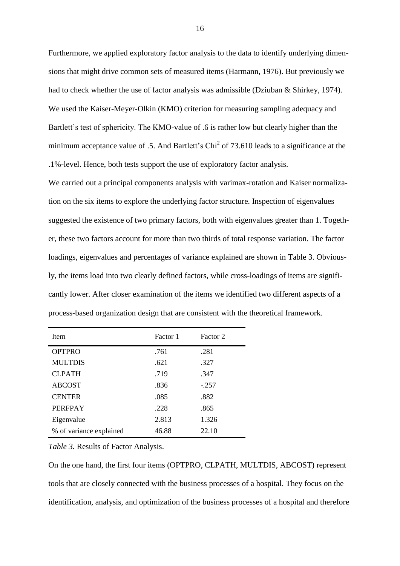Furthermore, we applied exploratory factor analysis to the data to identify underlying dimensions that might drive common sets of measured items (Harmann, 1976). But previously we had to check whether the use of factor analysis was admissible (Dziuban & Shirkey, 1974). We used the Kaiser-Meyer-Olkin (KMO) criterion for measuring sampling adequacy and Bartlett's test of sphericity. The KMO-value of .6 is rather low but clearly higher than the minimum acceptance value of .5. And Bartlett's  $Chi<sup>2</sup>$  of 73.610 leads to a significance at the .1%-level. Hence, both tests support the use of exploratory factor analysis.

We carried out a principal components analysis with varimax-rotation and Kaiser normalization on the six items to explore the underlying factor structure. Inspection of eigenvalues suggested the existence of two primary factors, both with eigenvalues greater than 1. Together, these two factors account for more than two thirds of total response variation. The factor loadings, eigenvalues and percentages of variance explained are shown in Table 3. Obviously, the items load into two clearly defined factors, while cross-loadings of items are significantly lower. After closer examination of the items we identified two different aspects of a process-based organization design that are consistent with the theoretical framework.

| Item                    | Factor 1 | Factor 2 |
|-------------------------|----------|----------|
| <b>OPTPRO</b>           | .761     | .281     |
| <b>MULTDIS</b>          | .621     | .327     |
| <b>CLPATH</b>           | .719     | .347     |
| <b>ABCOST</b>           | .836     | $-.257$  |
| <b>CENTER</b>           | .085     | .882     |
| <b>PERFPAY</b>          | .228     | .865     |
| Eigenvalue              | 2.813    | 1.326    |
| % of variance explained | 46.88    | 22.10    |

*Table 3.* Results of Factor Analysis.

On the one hand, the first four items (OPTPRO, CLPATH, MULTDIS, ABCOST) represent tools that are closely connected with the business processes of a hospital. They focus on the identification, analysis, and optimization of the business processes of a hospital and therefore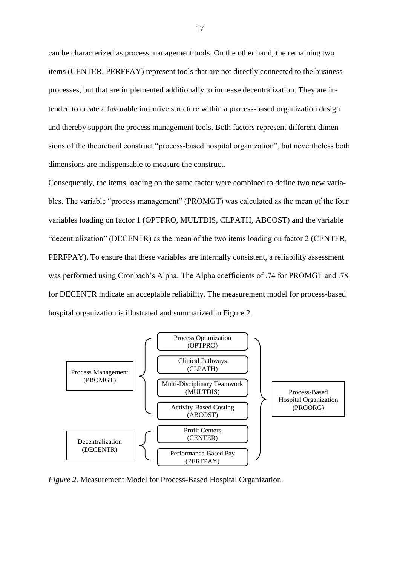can be characterized as process management tools. On the other hand, the remaining two items (CENTER, PERFPAY) represent tools that are not directly connected to the business processes, but that are implemented additionally to increase decentralization. They are intended to create a favorable incentive structure within a process-based organization design and thereby support the process management tools. Both factors represent different dimensions of the theoretical construct "process-based hospital organization", but nevertheless both dimensions are indispensable to measure the construct.

Consequently, the items loading on the same factor were combined to define two new variables. The variable "process management" (PROMGT) was calculated as the mean of the four variables loading on factor 1 (OPTPRO, MULTDIS, CLPATH, ABCOST) and the variable "decentralization" (DECENTR) as the mean of the two items loading on factor 2 (CENTER, PERFPAY). To ensure that these variables are internally consistent, a reliability assessment was performed using Cronbach's Alpha. The Alpha coefficients of .74 for PROMGT and .78 for DECENTR indicate an acceptable reliability. The measurement model for process-based hospital organization is illustrated and summarized in Figure 2.



*Figure 2.* Measurement Model for Process-Based Hospital Organization.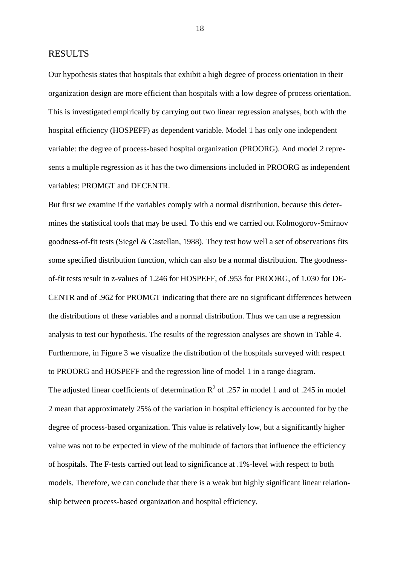#### RESULTS

Our hypothesis states that hospitals that exhibit a high degree of process orientation in their organization design are more efficient than hospitals with a low degree of process orientation. This is investigated empirically by carrying out two linear regression analyses, both with the hospital efficiency (HOSPEFF) as dependent variable. Model 1 has only one independent variable: the degree of process-based hospital organization (PROORG). And model 2 represents a multiple regression as it has the two dimensions included in PROORG as independent variables: PROMGT and DECENTR.

But first we examine if the variables comply with a normal distribution, because this determines the statistical tools that may be used. To this end we carried out Kolmogorov-Smirnov goodness-of-fit tests (Siegel & Castellan, 1988). They test how well a set of observations fits some specified distribution function, which can also be a normal distribution. The goodnessof-fit tests result in z-values of 1.246 for HOSPEFF, of .953 for PROORG, of 1.030 for DE-CENTR and of .962 for PROMGT indicating that there are no significant differences between the distributions of these variables and a normal distribution. Thus we can use a regression analysis to test our hypothesis. The results of the regression analyses are shown in Table 4. Furthermore, in Figure 3 we visualize the distribution of the hospitals surveyed with respect to PROORG and HOSPEFF and the regression line of model 1 in a range diagram. The adjusted linear coefficients of determination  $R^2$  of .257 in model 1 and of .245 in model 2 mean that approximately 25% of the variation in hospital efficiency is accounted for by the degree of process-based organization. This value is relatively low, but a significantly higher value was not to be expected in view of the multitude of factors that influence the efficiency of hospitals. The F-tests carried out lead to significance at .1%-level with respect to both models. Therefore, we can conclude that there is a weak but highly significant linear relationship between process-based organization and hospital efficiency.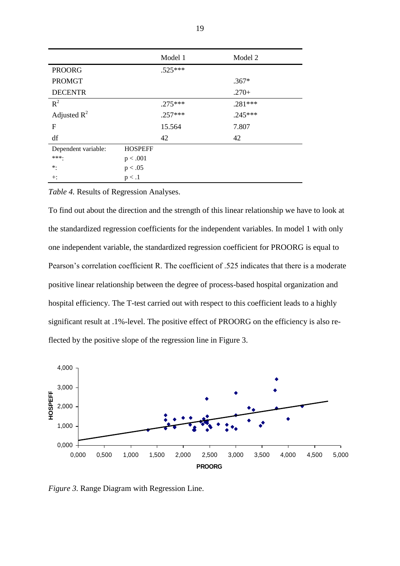|                     |                | Model 1   | Model 2   |
|---------------------|----------------|-----------|-----------|
| <b>PROORG</b>       |                | $.525***$ |           |
| <b>PROMGT</b>       |                |           | $.367*$   |
| <b>DECENTR</b>      |                |           | $.270+$   |
| $R^2$               |                | $.275***$ | $.281***$ |
| Adjusted $R^2$      |                | $.257***$ | $.245***$ |
| F                   |                | 15.564    | 7.807     |
| df                  |                | 42        | 42        |
| Dependent variable: | <b>HOSPEFF</b> |           |           |
| ***.                | p < .001       |           |           |
| $\ast$ :            | p < .05        |           |           |
| $+:$                | p < .1         |           |           |

*Table 4.* Results of Regression Analyses.

To find out about the direction and the strength of this linear relationship we have to look at the standardized regression coefficients for the independent variables. In model 1 with only one independent variable, the standardized regression coefficient for PROORG is equal to Pearson's correlation coefficient R. The coefficient of .525 indicates that there is a moderate positive linear relationship between the degree of process-based hospital organization and hospital efficiency. The T-test carried out with respect to this coefficient leads to a highly significant result at .1%-level. The positive effect of PROORG on the efficiency is also reflected by the positive slope of the regression line in Figure 3.



*Figure 3.* Range Diagram with Regression Line.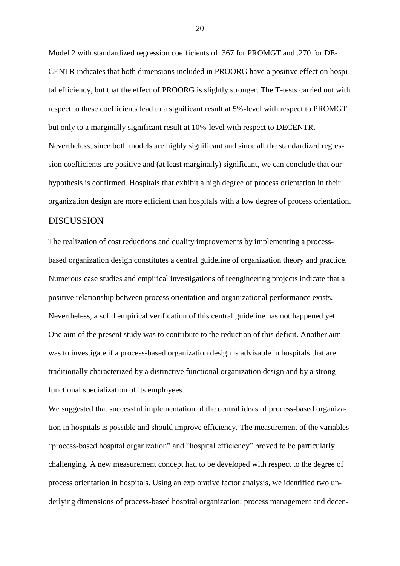Model 2 with standardized regression coefficients of .367 for PROMGT and .270 for DE-CENTR indicates that both dimensions included in PROORG have a positive effect on hospital efficiency, but that the effect of PROORG is slightly stronger. The T-tests carried out with respect to these coefficients lead to a significant result at 5%-level with respect to PROMGT, but only to a marginally significant result at 10%-level with respect to DECENTR. Nevertheless, since both models are highly significant and since all the standardized regression coefficients are positive and (at least marginally) significant, we can conclude that our hypothesis is confirmed. Hospitals that exhibit a high degree of process orientation in their organization design are more efficient than hospitals with a low degree of process orientation.

## **DISCUSSION**

The realization of cost reductions and quality improvements by implementing a processbased organization design constitutes a central guideline of organization theory and practice. Numerous case studies and empirical investigations of reengineering projects indicate that a positive relationship between process orientation and organizational performance exists. Nevertheless, a solid empirical verification of this central guideline has not happened yet. One aim of the present study was to contribute to the reduction of this deficit. Another aim was to investigate if a process-based organization design is advisable in hospitals that are traditionally characterized by a distinctive functional organization design and by a strong functional specialization of its employees.

We suggested that successful implementation of the central ideas of process-based organization in hospitals is possible and should improve efficiency. The measurement of the variables "process-based hospital organization" and "hospital efficiency" proved to be particularly challenging. A new measurement concept had to be developed with respect to the degree of process orientation in hospitals. Using an explorative factor analysis, we identified two underlying dimensions of process-based hospital organization: process management and decen-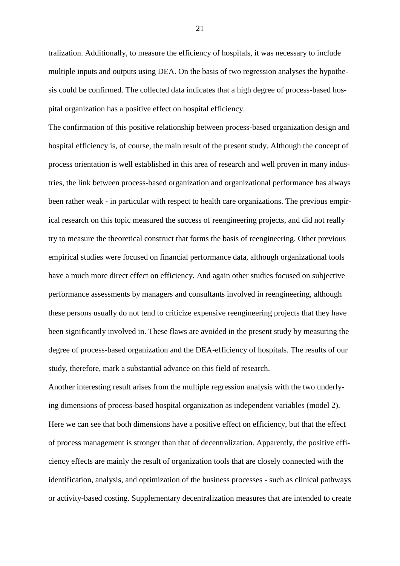tralization. Additionally, to measure the efficiency of hospitals, it was necessary to include multiple inputs and outputs using DEA. On the basis of two regression analyses the hypothesis could be confirmed. The collected data indicates that a high degree of process-based hospital organization has a positive effect on hospital efficiency.

The confirmation of this positive relationship between process-based organization design and hospital efficiency is, of course, the main result of the present study. Although the concept of process orientation is well established in this area of research and well proven in many industries, the link between process-based organization and organizational performance has always been rather weak - in particular with respect to health care organizations. The previous empirical research on this topic measured the success of reengineering projects, and did not really try to measure the theoretical construct that forms the basis of reengineering. Other previous empirical studies were focused on financial performance data, although organizational tools have a much more direct effect on efficiency. And again other studies focused on subjective performance assessments by managers and consultants involved in reengineering, although these persons usually do not tend to criticize expensive reengineering projects that they have been significantly involved in. These flaws are avoided in the present study by measuring the degree of process-based organization and the DEA-efficiency of hospitals. The results of our study, therefore, mark a substantial advance on this field of research.

Another interesting result arises from the multiple regression analysis with the two underlying dimensions of process-based hospital organization as independent variables (model 2). Here we can see that both dimensions have a positive effect on efficiency, but that the effect of process management is stronger than that of decentralization. Apparently, the positive efficiency effects are mainly the result of organization tools that are closely connected with the identification, analysis, and optimization of the business processes - such as clinical pathways or activity-based costing. Supplementary decentralization measures that are intended to create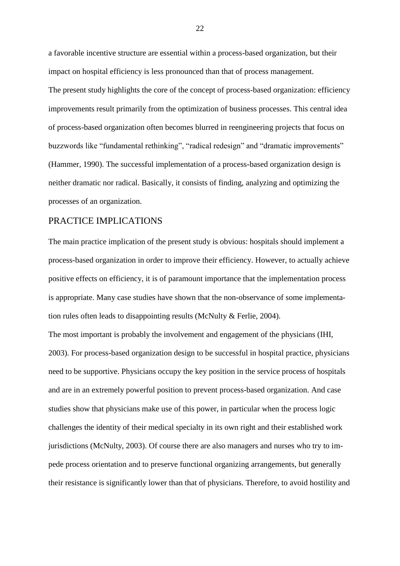a favorable incentive structure are essential within a process-based organization, but their impact on hospital efficiency is less pronounced than that of process management.

The present study highlights the core of the concept of process-based organization: efficiency improvements result primarily from the optimization of business processes. This central idea of process-based organization often becomes blurred in reengineering projects that focus on buzzwords like "fundamental rethinking", "radical redesign" and "dramatic improvements" (Hammer, 1990). The successful implementation of a process-based organization design is neither dramatic nor radical. Basically, it consists of finding, analyzing and optimizing the processes of an organization.

## PRACTICE IMPLICATIONS

The main practice implication of the present study is obvious: hospitals should implement a process-based organization in order to improve their efficiency. However, to actually achieve positive effects on efficiency, it is of paramount importance that the implementation process is appropriate. Many case studies have shown that the non-observance of some implementation rules often leads to disappointing results (McNulty & Ferlie, 2004).

The most important is probably the involvement and engagement of the physicians (IHI, 2003). For process-based organization design to be successful in hospital practice, physicians need to be supportive. Physicians occupy the key position in the service process of hospitals and are in an extremely powerful position to prevent process-based organization. And case studies show that physicians make use of this power, in particular when the process logic challenges the identity of their medical specialty in its own right and their established work jurisdictions (McNulty, 2003). Of course there are also managers and nurses who try to impede process orientation and to preserve functional organizing arrangements, but generally their resistance is significantly lower than that of physicians. Therefore, to avoid hostility and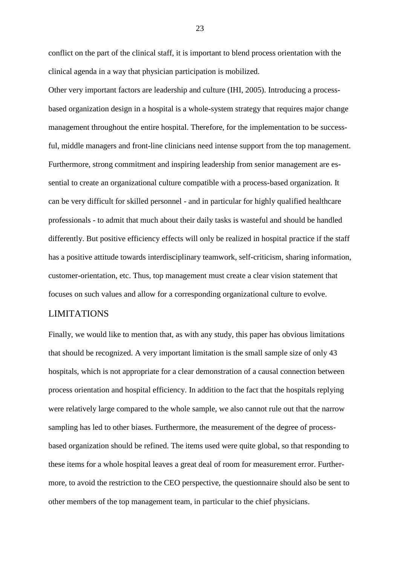conflict on the part of the clinical staff, it is important to blend process orientation with the clinical agenda in a way that physician participation is mobilized.

Other very important factors are leadership and culture (IHI, 2005). Introducing a processbased organization design in a hospital is a whole-system strategy that requires major change management throughout the entire hospital. Therefore, for the implementation to be successful, middle managers and front-line clinicians need intense support from the top management. Furthermore, strong commitment and inspiring leadership from senior management are essential to create an organizational culture compatible with a process-based organization. It can be very difficult for skilled personnel - and in particular for highly qualified healthcare professionals - to admit that much about their daily tasks is wasteful and should be handled differently. But positive efficiency effects will only be realized in hospital practice if the staff has a positive attitude towards interdisciplinary teamwork, self-criticism, sharing information, customer-orientation, etc. Thus, top management must create a clear vision statement that focuses on such values and allow for a corresponding organizational culture to evolve.

## LIMITATIONS

Finally, we would like to mention that, as with any study, this paper has obvious limitations that should be recognized. A very important limitation is the small sample size of only 43 hospitals, which is not appropriate for a clear demonstration of a causal connection between process orientation and hospital efficiency. In addition to the fact that the hospitals replying were relatively large compared to the whole sample, we also cannot rule out that the narrow sampling has led to other biases. Furthermore, the measurement of the degree of processbased organization should be refined. The items used were quite global, so that responding to these items for a whole hospital leaves a great deal of room for measurement error. Furthermore, to avoid the restriction to the CEO perspective, the questionnaire should also be sent to other members of the top management team, in particular to the chief physicians.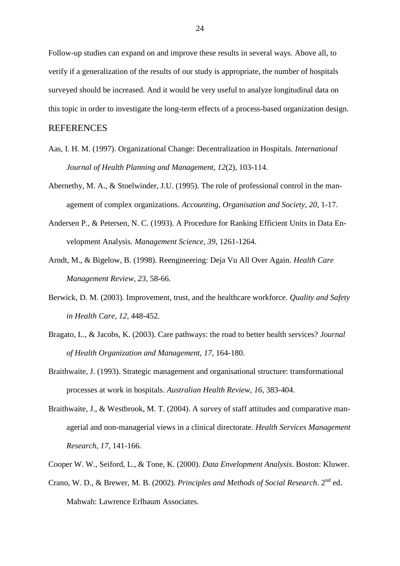Follow-up studies can expand on and improve these results in several ways. Above all, to verify if a generalization of the results of our study is appropriate, the number of hospitals surveyed should be increased. And it would be very useful to analyze longitudinal data on this topic in order to investigate the long-term effects of a process-based organization design.

#### REFERENCES

- Aas, I. H. M. (1997). Organizational Change: Decentralization in Hospitals. *International Journal of Health Planning and Management, 12*(2), 103-114.
- Abernethy, M. A., & Stoelwinder, J.U. (1995). The role of professional control in the management of complex organizations. *Accounting, Organisation and Society, 20*, 1-17.
- Andersen P., & Petersen, N. C. (1993). A Procedure for Ranking Efficient Units in Data Envelopment Analysis. *Management Science, 39*, 1261-1264.
- Arndt, M., & Bigelow, B. (1998). Reengineering: Deja Vu All Over Again. *Health Care Management Review, 23*, 58-66.
- Berwick, D. M. (2003). Improvement, trust, and the healthcare workforce. *Quality and Safety in Health Care, 12*, 448-452.
- Bragato, L., & Jacobs, K. (2003). Care pathways: the road to better health services? *Journal of Health Organization and Management, 17*, 164-180.
- Braithwaite, J. (1993). Strategic management and organisational structure: transformational processes at work in hospitals. *Australian Health Review, 16*, 383-404.
- Braithwaite, J., & Westbrook, M. T. (2004). A survey of staff attitudes and comparative managerial and non-managerial views in a clinical directorate. *Health Services Management Research, 17*, 141-166.
- Cooper W. W., Seiford, L., & Tone, K. (2000). *Data Envelopment Analysis*. Boston: Kluwer.
- Crano, W. D., & Brewer, M. B. (2002). *Principles and Methods of Social Research*. 2nd ed. Mahwah: Lawrence Erlbaum Associates.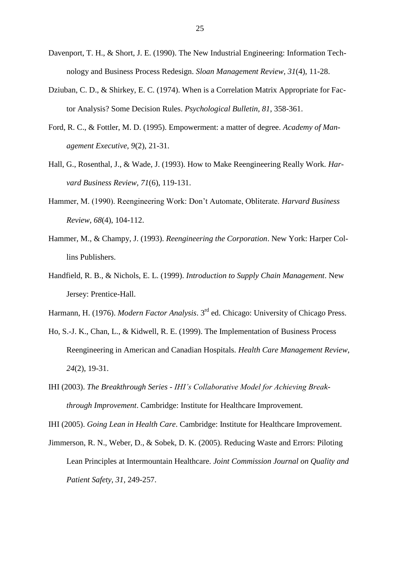- Davenport, T. H., & Short, J. E. (1990). The New Industrial Engineering: Information Technology and Business Process Redesign. *Sloan Management Review, 31*(4), 11-28.
- Dziuban, C. D., & Shirkey, E. C. (1974). When is a Correlation Matrix Appropriate for Factor Analysis? Some Decision Rules. *Psychological Bulletin, 81*, 358-361.
- Ford, R. C., & Fottler, M. D. (1995). Empowerment: a matter of degree. *Academy of Management Executive, 9*(2), 21-31.
- Hall, G., Rosenthal, J., & Wade, J. (1993). How to Make Reengineering Really Work. *Harvard Business Review, 71*(6), 119-131.
- Hammer, M. (1990). Reengineering Work: Don't Automate, Obliterate. *Harvard Business Review, 68*(4), 104-112.
- Hammer, M., & Champy, J. (1993). *Reengineering the Corporation*. New York: Harper Collins Publishers.
- Handfield, R. B., & Nichols, E. L. (1999). *Introduction to Supply Chain Management*. New Jersey: Prentice-Hall.
- Harmann, H. (1976). *Modern Factor Analysis*. 3rd ed. Chicago: University of Chicago Press.
- Ho, S.-J. K., Chan, L., & Kidwell, R. E. (1999). The Implementation of Business Process Reengineering in American and Canadian Hospitals. *Health Care Management Review, 24*(2), 19-31.
- IHI (2003). *The Breakthrough Series - IHI's Collaborative Model for Achieving Breakthrough Improvement*. Cambridge: Institute for Healthcare Improvement.

IHI (2005). *Going Lean in Health Care*. Cambridge: Institute for Healthcare Improvement.

Jimmerson, R. N., Weber, D., & Sobek, D. K. (2005). Reducing Waste and Errors: Piloting Lean Principles at Intermountain Healthcare. *Joint Commission Journal on Quality and Patient Safety, 31*, 249-257.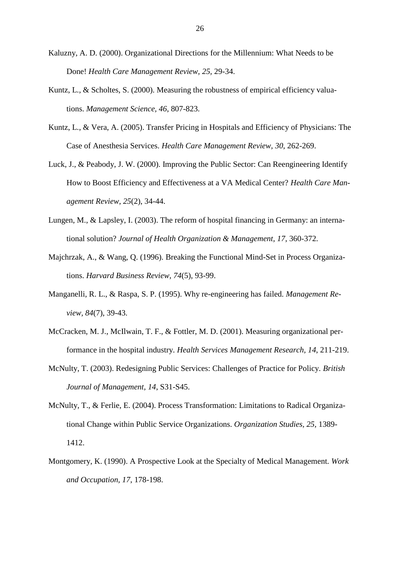- Kaluzny, A. D. (2000). Organizational Directions for the Millennium: What Needs to be Done! *Health Care Management Review, 25,* 29-34.
- Kuntz, L., & Scholtes, S. (2000). Measuring the robustness of empirical efficiency valuations. *Management Science, 46*, 807-823.
- Kuntz, L., & Vera, A. (2005). Transfer Pricing in Hospitals and Efficiency of Physicians: The Case of Anesthesia Services. *Health Care Management Review, 30*, 262-269.
- Luck, J., & Peabody, J. W. (2000). Improving the Public Sector: Can Reengineering Identify How to Boost Efficiency and Effectiveness at a VA Medical Center? *Health Care Management Review, 25*(2), 34-44.
- Lungen, M., & Lapsley, I. (2003). The reform of hospital financing in Germany: an international solution? *Journal of Health Organization & Management, 17*, 360-372.
- Majchrzak, A., & Wang, Q. (1996). Breaking the Functional Mind-Set in Process Organizations. *Harvard Business Review, 74*(5), 93-99.
- Manganelli, R. L., & Raspa, S. P. (1995). Why re-engineering has failed. *Management Review, 84*(7), 39-43.
- McCracken, M. J., McIlwain, T. F., & Fottler, M. D. (2001). Measuring organizational performance in the hospital industry. *Health Services Management Research, 14*, 211-219.
- McNulty, T. (2003). Redesigning Public Services: Challenges of Practice for Policy. *British Journal of Management, 14*, S31-S45.
- McNulty, T., & Ferlie, E. (2004). Process Transformation: Limitations to Radical Organizational Change within Public Service Organizations. *Organization Studies, 25,* 1389- 1412.
- Montgomery, K. (1990). A Prospective Look at the Specialty of Medical Management. *Work and Occupation, 17*, 178-198.